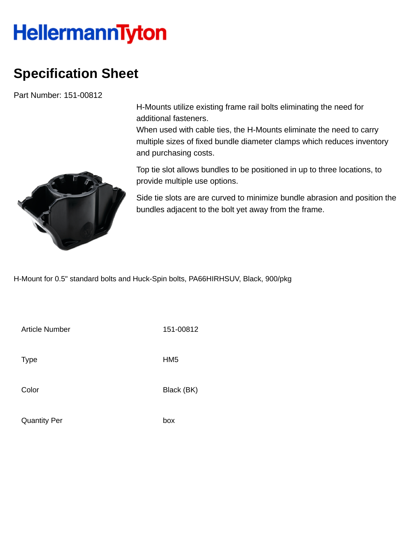## **HellermannTyton**

## **Specification Sheet**

Part Number: 151-00812

H-Mounts utilize existing frame rail bolts eliminating the need for additional fasteners.

When used with cable ties, the H-Mounts eliminate the need to carry multiple sizes of fixed bundle diameter clamps which reduces inventory and purchasing costs.



Top tie slot allows bundles to be positioned in up to three locations, to provide multiple use options.

Side tie slots are are curved to minimize bundle abrasion and position the bundles adjacent to the bolt yet away from the frame.

H-Mount for 0.5" standard bolts and Huck-Spin bolts, PA66HIRHSUV, Black, 900/pkg

Article Number 151-00812 Type HM5 Color Black (BK)

Quantity Per box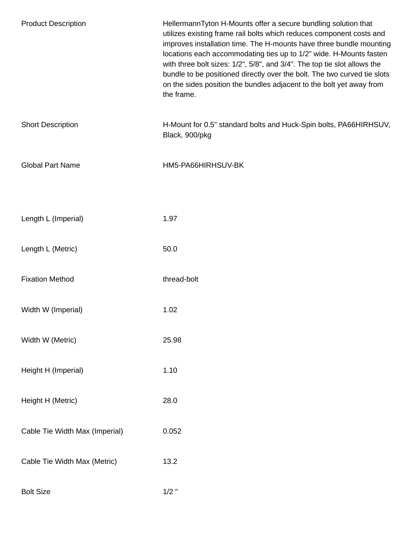| <b>Product Description</b>     | HellermannTyton H-Mounts offer a secure bundling solution that<br>utilizes existing frame rail bolts which reduces component costs and<br>improves installation time. The H-mounts have three bundle mounting<br>locations each accommodating ties up to 1/2" wide. H-Mounts fasten<br>with three bolt sizes: 1/2", 5/8", and 3/4". The top tie slot allows the<br>bundle to be positioned directly over the bolt. The two curved tie slots<br>on the sides position the bundles adjacent to the bolt yet away from<br>the frame. |
|--------------------------------|-----------------------------------------------------------------------------------------------------------------------------------------------------------------------------------------------------------------------------------------------------------------------------------------------------------------------------------------------------------------------------------------------------------------------------------------------------------------------------------------------------------------------------------|
| <b>Short Description</b>       | H-Mount for 0.5" standard bolts and Huck-Spin bolts, PA66HIRHSUV,<br>Black, 900/pkg                                                                                                                                                                                                                                                                                                                                                                                                                                               |
| <b>Global Part Name</b>        | HM5-PA66HIRHSUV-BK                                                                                                                                                                                                                                                                                                                                                                                                                                                                                                                |
| Length L (Imperial)            | 1.97                                                                                                                                                                                                                                                                                                                                                                                                                                                                                                                              |
| Length L (Metric)              | 50.0                                                                                                                                                                                                                                                                                                                                                                                                                                                                                                                              |
| <b>Fixation Method</b>         | thread-bolt                                                                                                                                                                                                                                                                                                                                                                                                                                                                                                                       |
| Width W (Imperial)             | 1.02                                                                                                                                                                                                                                                                                                                                                                                                                                                                                                                              |
| Width W (Metric)               | 25.98                                                                                                                                                                                                                                                                                                                                                                                                                                                                                                                             |
| Height H (Imperial)            | 1.10                                                                                                                                                                                                                                                                                                                                                                                                                                                                                                                              |
| Height H (Metric)              | 28.0                                                                                                                                                                                                                                                                                                                                                                                                                                                                                                                              |
| Cable Tie Width Max (Imperial) | 0.052                                                                                                                                                                                                                                                                                                                                                                                                                                                                                                                             |
| Cable Tie Width Max (Metric)   | 13.2                                                                                                                                                                                                                                                                                                                                                                                                                                                                                                                              |
| <b>Bolt Size</b>               | $1/2$ "                                                                                                                                                                                                                                                                                                                                                                                                                                                                                                                           |